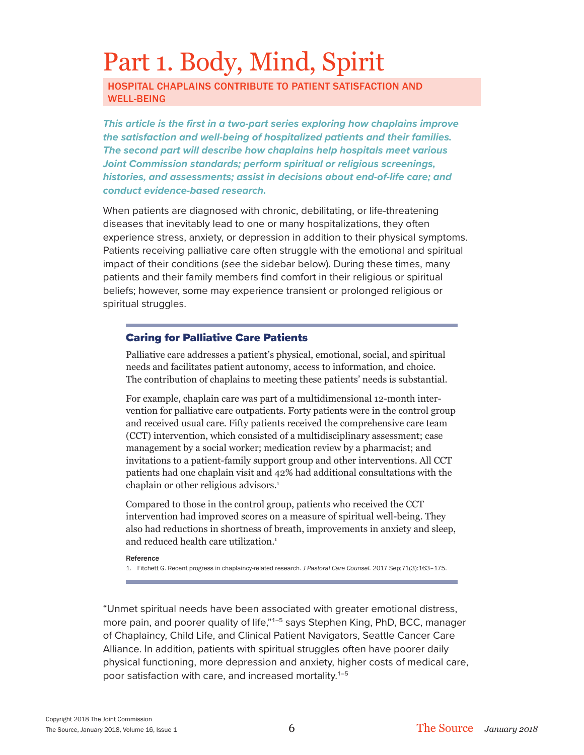# Part 1. Body, Mind, Spirit

HOSPITAL CHAPLAINS CONTRIBUTE TO PATIENT SATISFACTION AND WELL-BEING

*This article is the first in a two-part series exploring how chaplains improve the satisfaction and well-being of hospitalized patients and their families. The second part will describe how chaplains help hospitals meet various Joint Commission standards; perform spiritual or religious screenings, histories, and assessments; assist in decisions about end-of-life care; and conduct evidence-based research.*

When patients are diagnosed with chronic, debilitating, or life-threatening diseases that inevitably lead to one or many hospitalizations, they often experience stress, anxiety, or depression in addition to their physical symptoms. Patients receiving palliative care often struggle with the emotional and spiritual impact of their conditions (*see* the sidebar below). During these times, many patients and their family members find comfort in their religious or spiritual beliefs; however, some may experience transient or prolonged religious or spiritual struggles.

### Caring for Palliative Care Patients

Palliative care addresses a patient's physical, emotional, social, and spiritual needs and facilitates patient autonomy, access to information, and choice. The contribution of chaplains to meeting these patients' needs is substantial.

For example, chaplain care was part of a multidimensional 12-month intervention for palliative care outpatients. Forty patients were in the control group and received usual care. Fifty patients received the comprehensive care team (CCT) intervention, which consisted of a multidisciplinary assessment; case management by a social worker; medication review by a pharmacist; and invitations to a patient-family support group and other interventions. All CCT patients had one chaplain visit and 42% had additional consultations with the chaplain or other religious advisors.<sup>1</sup>

Compared to those in the control group, patients who received the CCT intervention had improved scores on a measure of spiritual well-being. They also had reductions in shortness of breath, improvements in anxiety and sleep, and reduced health care utilization.<sup>1</sup>

#### Reference

1. Fitchett G. Recent progress in chaplaincy-related research. *J Pastoral Care Counsel.* 2017 Sep;71(3):163–175.

"Unmet spiritual needs have been associated with greater emotional distress, more pain, and poorer quality of life,"<sup>1-5</sup> says Stephen King, PhD, BCC, manager of Chaplaincy, Child Life, and Clinical Patient Navigators, Seattle Cancer Care Alliance. In addition, patients with spiritual struggles often have poorer daily physical functioning, more depression and anxiety, higher costs of medical care, poor satisfaction with care, and increased mortality.<sup>1-5</sup>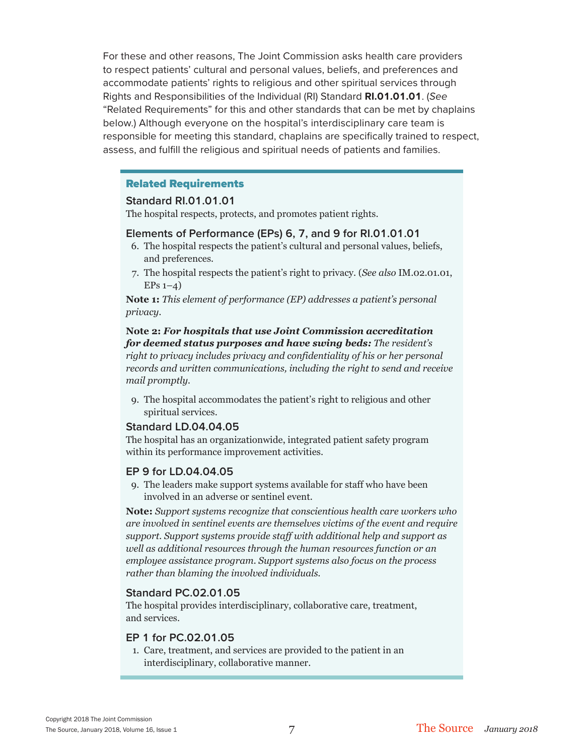For these and other reasons, The Joint Commission asks health care providers to respect patients' cultural and personal values, beliefs, and preferences and accommodate patients' rights to religious and other spiritual services through Rights and Responsibilities of the Individual (RI) Standard **RI.01.01.01**. (*See* "Related Requirements" for this and other standards that can be met by chaplains below.) Although everyone on the hospital's interdisciplinary care team is responsible for meeting this standard, chaplains are specifically trained to respect, assess, and fulfill the religious and spiritual needs of patients and families.

## Related Requirements

#### **Standard RI.01.01.01**

The hospital respects, protects, and promotes patient rights.

#### **Elements of Performance (EPs) 6, 7, and 9 for RI.01.01.01**

- 6. The hospital respects the patient's cultural and personal values, beliefs, and preferences.
- 7. The hospital respects the patient's right to privacy. (*See also* IM.02.01.01,  $EPs 1-4)$

**Note 1:** *This element of performance (EP) addresses a patient's personal privacy.*

**Note 2:** *For hospitals that use Joint Commission accreditation for deemed status purposes and have swing beds: The resident's right to privacy includes privacy and confidentiality of his or her personal records and written communications, including the right to send and receive mail promptly.*

9. The hospital accommodates the patient's right to religious and other spiritual services.

### **Standard LD.04.04.05**

The hospital has an organizationwide, integrated patient safety program within its performance improvement activities.

#### **EP 9 for LD.04.04.05**

9. The leaders make support systems available for staff who have been involved in an adverse or sentinel event.

**Note:** *Support systems recognize that conscientious health care workers who are involved in sentinel events are themselves victims of the event and require support. Support systems provide staff with additional help and support as well as additional resources through the human resources function or an employee assistance program. Support systems also focus on the process rather than blaming the involved individuals.*

### **Standard PC.02.01.05**

The hospital provides interdisciplinary, collaborative care, treatment, and services.

#### **EP 1 for PC.02.01.05**

1. Care, treatment, and services are provided to the patient in an interdisciplinary, collaborative manner.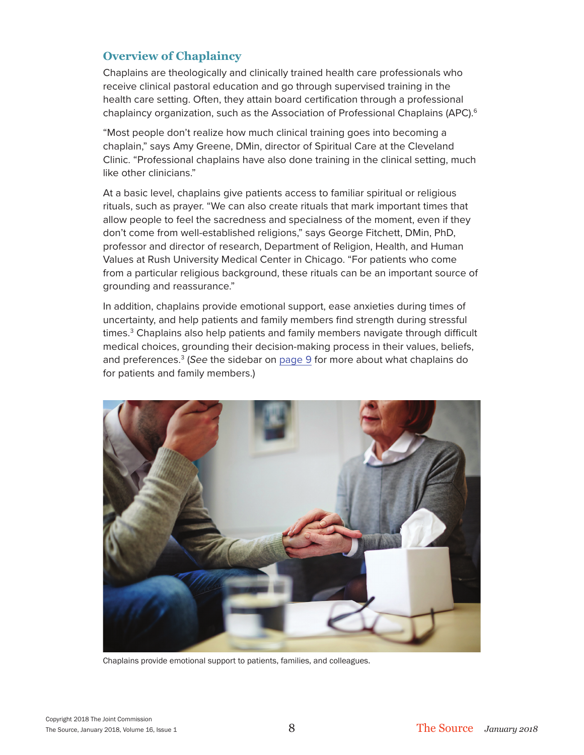## **Overview of Chaplaincy**

Chaplains are theologically and clinically trained health care professionals who receive clinical pastoral education and go through supervised training in the health care setting. Often, they attain board certification through a professional chaplaincy organization, such as the Association of Professional Chaplains (APC).<sup>6</sup>

"Most people don't realize how much clinical training goes into becoming a chaplain," says Amy Greene, DMin, director of Spiritual Care at the Cleveland Clinic. "Professional chaplains have also done training in the clinical setting, much like other clinicians."

At a basic level, chaplains give patients access to familiar spiritual or religious rituals, such as prayer. "We can also create rituals that mark important times that allow people to feel the sacredness and specialness of the moment, even if they don't come from well-established religions," says George Fitchett, DMin, PhD, professor and director of research, Department of Religion, Health, and Human Values at Rush University Medical Center in Chicago. "For patients who come from a particular religious background, these rituals can be an important source of grounding and reassurance."

In addition, chaplains provide emotional support, ease anxieties during times of uncertainty, and help patients and family members find strength during stressful times.<sup>3</sup> Chaplains also help patients and family members navigate through difficult medical choices, grounding their decision-making process in their values, beliefs, and preferences.3 (*See* the sidebar on page 9 for more about what chaplains do for patients and family members.)



Chaplains provide emotional support to patients, families, and colleagues.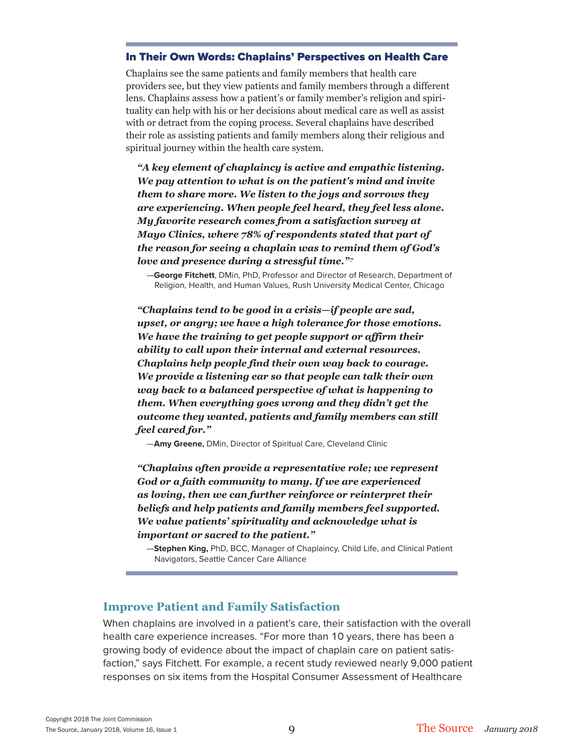#### In Their Own Words: Chaplains' Perspectives on Health Care

Chaplains see the same patients and family members that health care providers see, but they view patients and family members through a different lens. Chaplains assess how a patient's or family member's religion and spirituality can help with his or her decisions about medical care as well as assist with or detract from the coping process. Several chaplains have described their role as assisting patients and family members along their religious and spiritual journey within the health care system.

*"A key element of chaplaincy is active and empathic listening. We pay attention to what is on the patient's mind and invite them to share more. We listen to the joys and sorrows they are experiencing. When people feel heard, they feel less alone. My favorite research comes from a satisfaction survey at Mayo Clinics, where 78% of respondents stated that part of the reason for seeing a chaplain was to remind them of God's love and presence during a stressful time.*"<sup>7</sup>

—**George Fitchett**, DMin, PhD, Professor and Director of Research, Department of Religion, Health, and Human Values, Rush University Medical Center, Chicago

*"Chaplains tend to be good in a crisis—if people are sad, upset, or angry; we have a high tolerance for those emotions. We have the training to get people support or affirm their ability to call upon their internal and external resources. Chaplains help people find their own way back to courage. We provide a listening ear so that people can talk their own way back to a balanced perspective of what is happening to them. When everything goes wrong and they didn't get the outcome they wanted, patients and family members can still feel cared for."*

—**Amy Greene,** DMin, Director of Spiritual Care, Cleveland Clinic

*"Chaplains often provide a representative role; we represent God or a faith community to many. If we are experienced as loving, then we can further reinforce or reinterpret their beliefs and help patients and family members feel supported. We value patients' spirituality and acknowledge what is important or sacred to the patient."*

—**Stephen King,** PhD, BCC, Manager of Chaplaincy, Child Life, and Clinical Patient Navigators, Seattle Cancer Care Alliance

## **Improve Patient and Family Satisfaction**

When chaplains are involved in a patient's care, their satisfaction with the overall health care experience increases. "For more than 10 years, there has been a growing body of evidence about the impact of chaplain care on patient satisfaction," says Fitchett. For example, a recent study reviewed nearly 9,000 patient responses on six items from the Hospital Consumer Assessment of Healthcare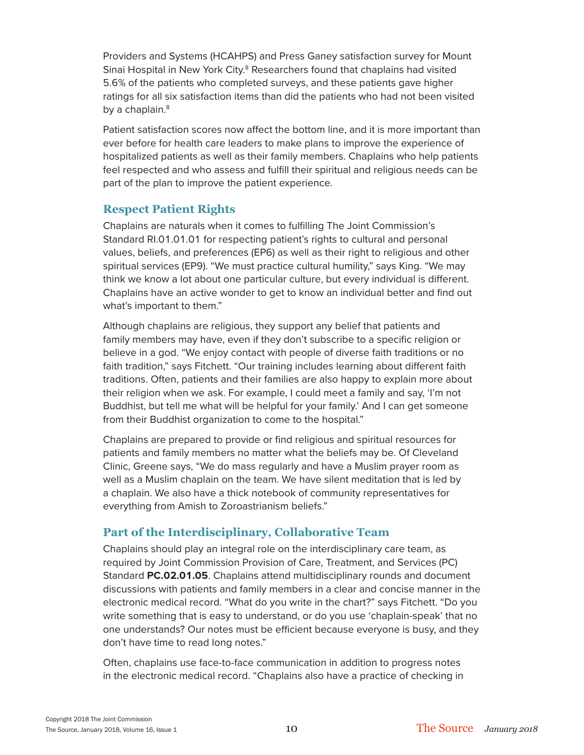Providers and Systems (HCAHPS) and Press Ganey satisfaction survey for Mount Sinai Hospital in New York City.<sup>8</sup> Researchers found that chaplains had visited 5.6% of the patients who completed surveys, and these patients gave higher ratings for all six satisfaction items than did the patients who had not been visited by a chaplain.<sup>8</sup>

Patient satisfaction scores now affect the bottom line, and it is more important than ever before for health care leaders to make plans to improve the experience of hospitalized patients as well as their family members. Chaplains who help patients feel respected and who assess and fulfill their spiritual and religious needs can be part of the plan to improve the patient experience.

## **Respect Patient Rights**

Chaplains are naturals when it comes to fulfilling The Joint Commission's Standard RI.01.01.01 for respecting patient's rights to cultural and personal values, beliefs, and preferences (EP6) as well as their right to religious and other spiritual services (EP9). "We must practice cultural humility," says King. "We may think we know a lot about one particular culture, but every individual is different. Chaplains have an active wonder to get to know an individual better and find out what's important to them."

Although chaplains are religious, they support any belief that patients and family members may have, even if they don't subscribe to a specific religion or believe in a god. "We enjoy contact with people of diverse faith traditions or no faith tradition," says Fitchett. "Our training includes learning about different faith traditions. Often, patients and their families are also happy to explain more about their religion when we ask. For example, I could meet a family and say, 'I'm not Buddhist, but tell me what will be helpful for your family.' And I can get someone from their Buddhist organization to come to the hospital."

Chaplains are prepared to provide or find religious and spiritual resources for patients and family members no matter what the beliefs may be. Of Cleveland Clinic, Greene says, "We do mass regularly and have a Muslim prayer room as well as a Muslim chaplain on the team. We have silent meditation that is led by a chaplain. We also have a thick notebook of community representatives for everything from Amish to Zoroastrianism beliefs."

## **Part of the Interdisciplinary, Collaborative Team**

Chaplains should play an integral role on the interdisciplinary care team, as required by Joint Commission Provision of Care, Treatment, and Services (PC) Standard **PC.02.01.05**. Chaplains attend multidisciplinary rounds and document discussions with patients and family members in a clear and concise manner in the electronic medical record. "What do you write in the chart?" says Fitchett. "Do you write something that is easy to understand, or do you use 'chaplain-speak' that no one understands? Our notes must be efficient because everyone is busy, and they don't have time to read long notes."

Often, chaplains use face-to-face communication in addition to progress notes in the electronic medical record. "Chaplains also have a practice of checking in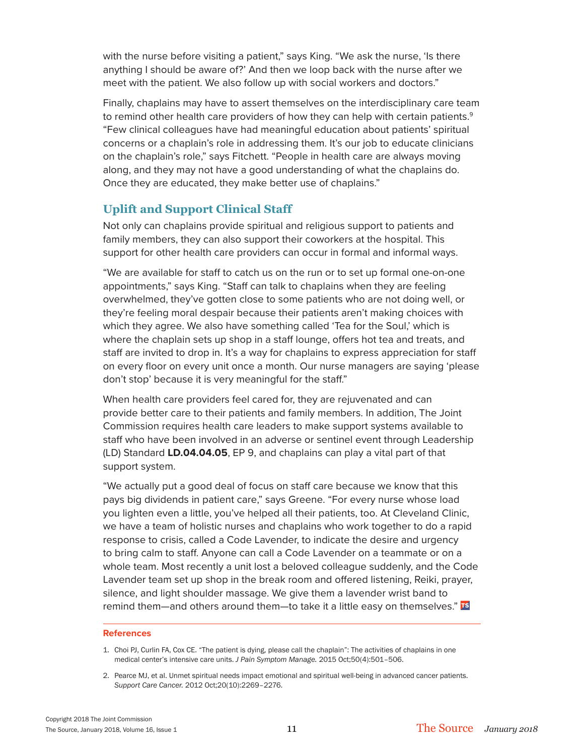with the nurse before visiting a patient," says King. "We ask the nurse, 'Is there anything I should be aware of?' And then we loop back with the nurse after we meet with the patient. We also follow up with social workers and doctors."

Finally, chaplains may have to assert themselves on the interdisciplinary care team to remind other health care providers of how they can help with certain patients. $9$ "Few clinical colleagues have had meaningful education about patients' spiritual concerns or a chaplain's role in addressing them. It's our job to educate clinicians on the chaplain's role," says Fitchett. "People in health care are always moving along, and they may not have a good understanding of what the chaplains do. Once they are educated, they make better use of chaplains."

## **Uplift and Support Clinical Staff**

Not only can chaplains provide spiritual and religious support to patients and family members, they can also support their coworkers at the hospital. This support for other health care providers can occur in formal and informal ways.

"We are available for staff to catch us on the run or to set up formal one-on-one appointments," says King. "Staff can talk to chaplains when they are feeling overwhelmed, they've gotten close to some patients who are not doing well, or they're feeling moral despair because their patients aren't making choices with which they agree. We also have something called 'Tea for the Soul,' which is where the chaplain sets up shop in a staff lounge, offers hot tea and treats, and staff are invited to drop in. It's a way for chaplains to express appreciation for staff on every floor on every unit once a month. Our nurse managers are saying 'please don't stop' because it is very meaningful for the staff."

When health care providers feel cared for, they are rejuvenated and can provide better care to their patients and family members. In addition, The Joint Commission requires health care leaders to make support systems available to staff who have been involved in an adverse or sentinel event through Leadership (LD) Standard **LD.04.04.05**, EP 9, and chaplains can play a vital part of that support system.

"We actually put a good deal of focus on staff care because we know that this pays big dividends in patient care," says Greene. "For every nurse whose load you lighten even a little, you've helped all their patients, too. At Cleveland Clinic, we have a team of holistic nurses and chaplains who work together to do a rapid response to crisis, called a Code Lavender, to indicate the desire and urgency to bring calm to staff. Anyone can call a Code Lavender on a teammate or on a whole team. Most recently a unit lost a beloved colleague suddenly, and the Code Lavender team set up shop in the break room and offered listening, Reiki, prayer, silence, and light shoulder massage. We give them a lavender wrist band to remind them—and others around them—to take it a little easy on themselves." TS

#### **References**

- 1. Choi PJ, Curlin FA, Cox CE. "The patient is dying, please call the chaplain": The activities of chaplains in one medical center's intensive care units. *J Pain Symptom Manage.* 2015 Oct;50(4):501–506.
- 2. Pearce MJ, et al. Unmet spiritual needs impact emotional and spiritual well-being in advanced cancer patients. *Support Care Cancer.* 2012 Oct;20(10):2269–2276.